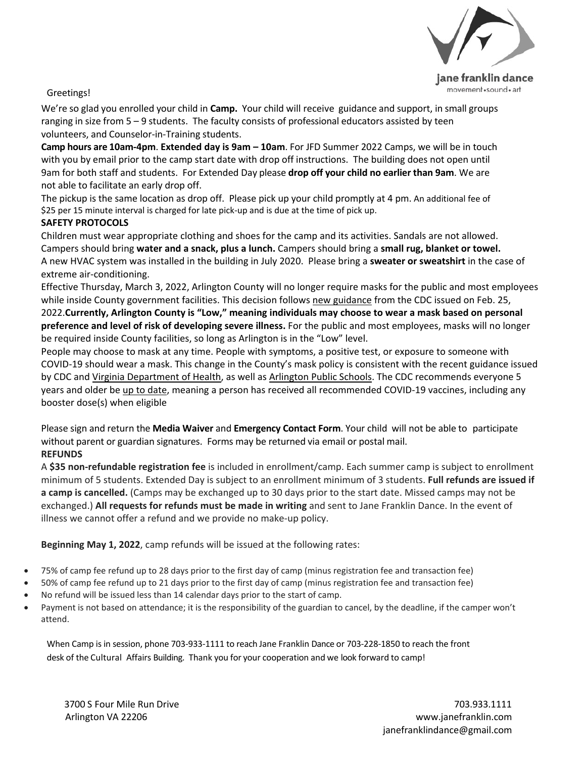

Greetings!

We're so glad you enrolled your child in **Camp.** Your child will receive guidance and support, in small groups ranging in size from 5 – 9 students. The faculty consists of professional educators assisted by teen volunteers, and Counselor-in-Training students.

**Camp hours are 10am-4pm**. **Extended day is 9am – 10am**. For JFD Summer 2022 Camps, we will be in touch with you by email prior to the camp start date with drop off instructions. The building does not open until 9am for both staff and students. For Extended Day please **drop off your child no earlier than 9am**. We are not able to facilitate an early drop off.

The pickup is the same location as drop off. Please pick up your child promptly at 4 pm. An additional fee of \$25 per 15 minute interval is charged for late pick-up and is due at the time of pick up.

### **SAFETY PROTOCOLS**

Children must wear appropriate clothing and shoes for the camp and its activities. Sandals are not allowed. Campers should bring **water and a snack, plus a lunch.** Campers should bring a **small rug, blanket or towel.** A new HVAC system was installed in the building in July 2020. Please bring a **sweater or sweatshirt** in the case of extreme air-conditioning.

Effective Thursday, March 3, 2022, Arlington County will no longer require masks for the public and most employees while inside County government facilities. This decision follows [new guidance](https://www.cdc.gov/coronavirus/2019-ncov/science/community-levels.html) from the CDC issued on Feb. 25, 2022.**Currently, Arlington County is "Low," meaning individuals may choose to wear a mask based on personal preference and level of risk of developing severe illness.** For the public and most employees, masks will no longer be required inside County facilities, so long as Arlington is in the "Low" level.

People may choose to mask at any time. People with symptoms, a positive test, or exposure to someone with COVID-19 should wear a mask. This change in the County's mask policy is consistent with the recent guidance issued by CDC and [Virginia Department of Health,](https://www.vdh.virginia.gov/coronavirus/protect-yourself/masks/) as well as [Arlington Public Schools.](https://www.apsva.us/post/changes-to-mask-guidance-effective-march-1/) The CDC recommends everyone 5 years and older be [up to date,](https://www.cdc.gov/coronavirus/2019-ncov/vaccines/stay-up-to-date.html) meaning a person has received all recommended COVID-19 vaccines, including any booster dose(s) when eligible

Please sign and return the **Media Waiver** and **Emergency Contact Form**. Your child will not be able to participate without parent or guardian signatures. Forms may be returned via email or postal mail. **REFUNDS**

A **\$35 non-refundable registration fee** is included in enrollment/camp. Each summer camp is subject to enrollment minimum of 5 students. Extended Day is subject to an enrollment minimum of 3 students. **Full refunds are issued if a camp is cancelled.** (Camps may be exchanged up to 30 days prior to the start date. Missed camps may not be exchanged.) **All requests for refunds must be made in writing** and sent to Jane Franklin Dance. In the event of illness we cannot offer a refund and we provide no make-up policy.

**Beginning May 1, 2022**, camp refunds will be issued at the following rates:

- 75% of camp fee refund up to 28 days prior to the first day of camp (minus registration fee and transaction fee)
- 50% of camp fee refund up to 21 days prior to the first day of camp (minus registration fee and transaction fee)
- No refund will be issued less than 14 calendar days prior to the start of camp.
- Payment is not based on attendance; it is the responsibility of the guardian to cancel, by the deadline, if the camper won't attend.

When Camp is in session, phone 703-933-1111 to reach Jane Franklin Dance or 703-228-1850 to reach the front desk of the Cultural Affairs Building. Thank you for your cooperation and we look forward to camp!

3700 S Four Mile Run Drive 703.933.1111 Arlington VA 22206 [www.janefranklin.com](http://www.janefranklin.com/) [janefranklindance@gmail.com](mailto:janefranklindance@gmail.com)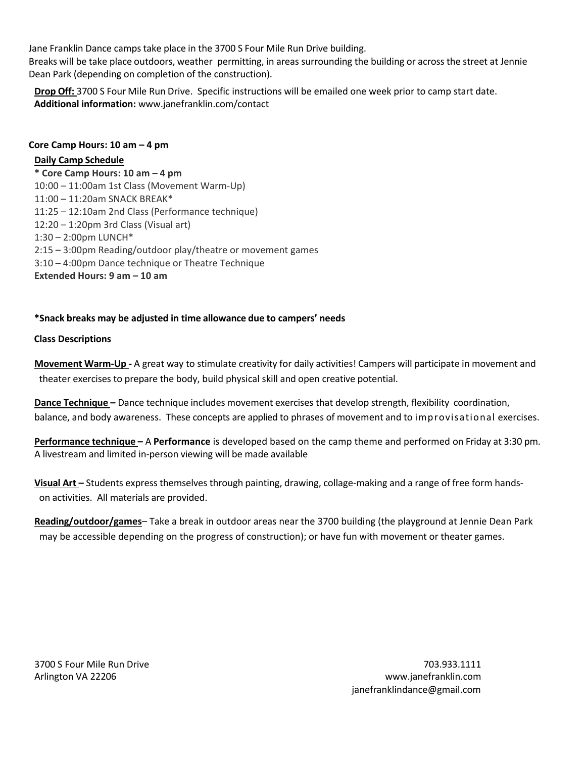Jane Franklin Dance camps take place in the 3700 S Four Mile Run Drive building. Breaks will be take place outdoors, weather permitting, in areas surrounding the building or across the street at Jennie Dean Park (depending on completion of the construction).

**Drop Off:** 3700 S Four Mile Run Drive. Specific instructions will be emailed one week prior to camp start date. **Additional information:** [www.janefranklin.com/contact](http://www.janefranklin.com/contact)

#### **Core Camp Hours: 10 am – 4 pm**

#### **Daily Camp Schedule**

**\* Core Camp Hours: 10 am – 4 pm** 10:00 – 11:00am 1st Class (Movement Warm-Up) 11:00 – 11:20am SNACK BREAK\* 11:25 – 12:10am 2nd Class (Performance technique) 12:20 – 1:20pm 3rd Class (Visual art) 1:30 – 2:00pm LUNCH\* 2:15 – 3:00pm Reading/outdoor play/theatre or movement games 3:10 – 4:00pm Dance technique or Theatre Technique **Extended Hours: 9 am – 10 am**

#### **\*Snack breaks may be adjusted in time allowance due to campers' needs**

#### **Class Descriptions**

**Movement Warm-Up -** A great way to stimulate creativity for daily activities! Campers will participate in movement and theater exercises to prepare the body, build physical skill and open creative potential.

**Dance Technique –** Dance technique includes movement exercises that develop strength, flexibility coordination, balance, and body awareness. These concepts are applied to phrases of movement and to improvisational exercises.

**Performance technique –** A **Performance** is developed based on the camp theme and performed on Friday at 3:30 pm. A livestream and limited in-person viewing will be made available

**Visual Art –** Students expressthemselves through painting, drawing, collage-making and a range of free form handson activities. All materials are provided.

**Reading/outdoor/games**– Take a break in outdoor areas near the 3700 building (the playground at Jennie Dean Park may be accessible depending on the progress of construction); or have fun with movement or theater games.

3700 S Four Mile Run Drive Arlington VA 22206

703.933.1111 [www.janefranklin.com](http://www.janefranklin.com/) [janefranklindance@gmail.com](mailto:janefranklindance@gmail.com)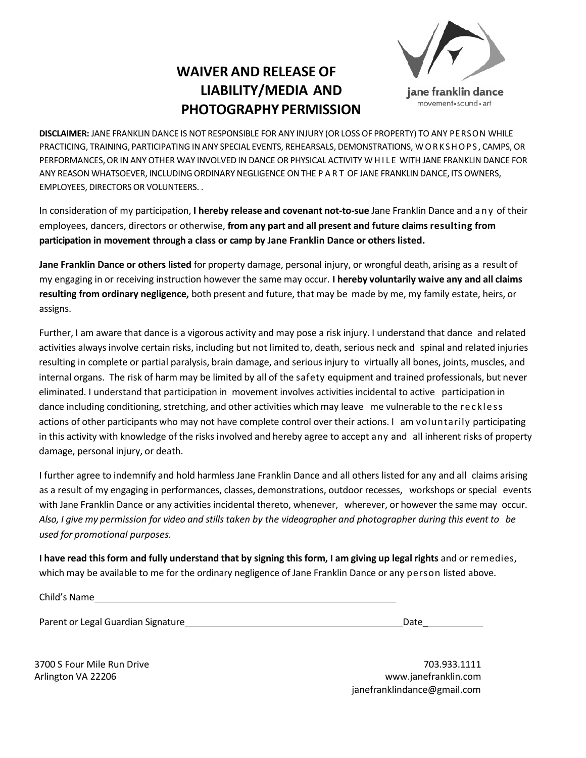# **WAIVER AND RELEASE OF LIABILITY/MEDIA AND PHOTOGRAPHY PERMISSION**



**DISCLAIMER:** JANE FRANKLIN DANCE IS NOT RESPONSIBLE FOR ANY INJURY (OR LOSS OF PROPERTY) TO ANY PERSON WHILE PRACTICING, TRAINING, PARTICIPATING IN ANY SPECIAL EVENTS, REHEARSALS, DEMONSTRATIONS, WORKSHOPS , CAMPS, OR PERFORMANCES,OR IN ANY OTHER WAY INVOLVED IN DANCE OR PHYSICAL ACTIVITY WHILE WITH JANE FRANKLIN DANCE FOR ANY REASON WHATSOEVER, INCLUDING ORDINARY NEGLIGENCE ON THE P A R T OF JANE FRANKLIN DANCE, ITS OWNERS, EMPLOYEES, DIRECTORS OR VOLUNTEERS. .

In consideration of my participation, **I hereby release and covenant not-to-sue** Jane Franklin Dance and any of their employees, dancers, directors or otherwise, **from any part and all present and future claims resulting from participation in movement through a class or camp by Jane Franklin Dance or others listed.**

**Jane Franklin Dance or others listed** for property damage, personal injury, or wrongful death, arising as a result of my engaging in or receiving instruction however the same may occur. **I hereby voluntarily waive any and all claims resulting from ordinary negligence,** both present and future, that may be made by me, my family estate, heirs, or assigns.

Further, I am aware that dance is a vigorous activity and may pose a risk injury. I understand that dance and related activities always involve certain risks, including but not limited to, death, serious neck and spinal and related injuries resulting in complete or partial paralysis, brain damage, and seriousinjury to virtually all bones, joints, muscles, and internal organs. The risk of harm may be limited by all of the safety equipment and trained professionals, but never eliminated. I understand that participation in movement involves activitiesincidental to active participation in dance including conditioning, stretching, and other activities which may leave me vulnerable to the reckless actions of other participants who may not have complete control over their actions. I am voluntarily participating in this activity with knowledge of the risks involved and hereby agree to accept any and all inherent risks of property damage, personal injury, or death.

I further agree to indemnify and hold harmless Jane Franklin Dance and all others listed for any and all claims arising as a result of my engaging in performances, classes, demonstrations, outdoor recesses, workshops or special events with Jane Franklin Dance or any activities incidental thereto, whenever, wherever, or however the same may occur. Also, I give my permission for video and stills taken by the videographer and photographer during this event to be *used for promotional purposes.*

I have read this form and fully understand that by signing this form, I am giving up legal rights and or remedies, which may be available to me for the ordinary negligence of Jane Franklin Dance or any person listed above.

Child's Name

Parent or Legal Guardian Signature **Date Date** 

3700 S Four Mile Run Drive Arlington VA 22206

703.933.1111 [www.janefranklin.com](http://www.janefranklin.com/) [janefranklindance@gmail.com](mailto:janefranklindance@gmail.com)